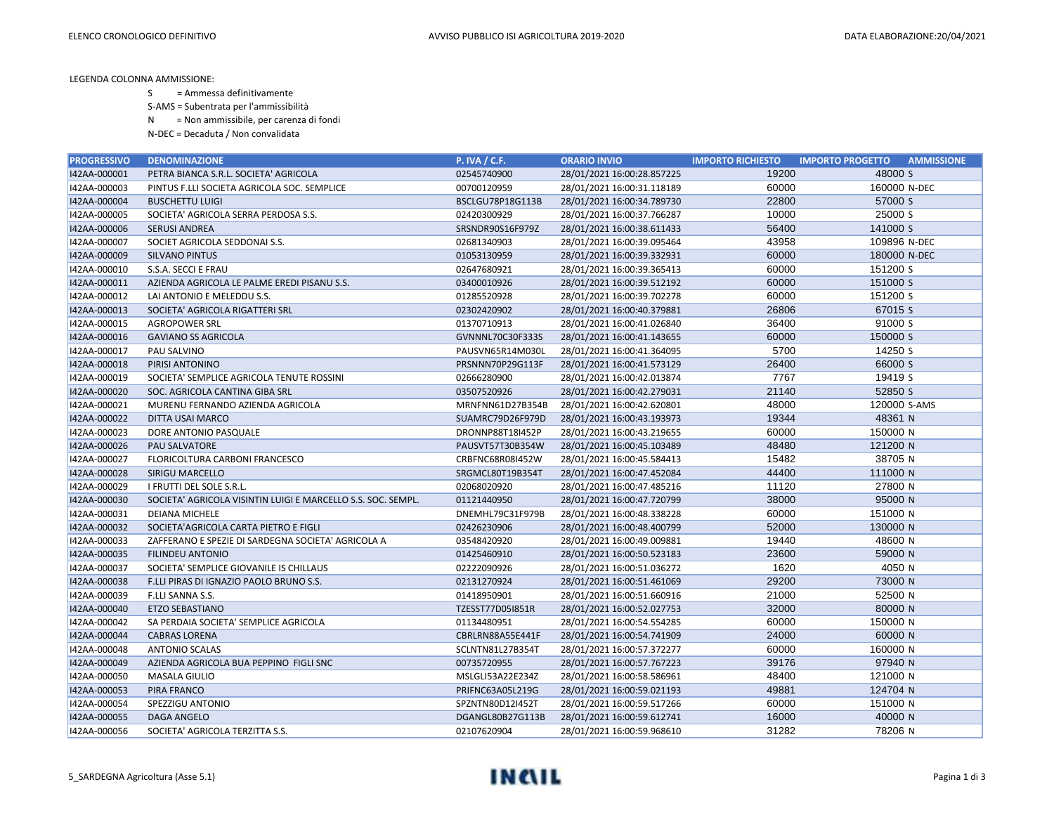LEGENDA COLONNA AMMISSIONE:

S = Ammessa definitivamente

S-AMS = Subentrata per l'ammissibilità

N = Non ammissibile, per carenza di fondi

N-DEC = Decaduta / Non convalidata

| <b>PROGRESSIVO</b> | <b>DENOMINAZIONE</b>                                         | <b>P. IVA / C.F.</b> | <b>ORARIO INVIO</b>        | <b>IMPORTO RICHIESTO</b> | <b>IMPORTO PROGETTO</b><br><b>AMMISSIONE</b> |
|--------------------|--------------------------------------------------------------|----------------------|----------------------------|--------------------------|----------------------------------------------|
| I42AA-000001       | PETRA BIANCA S.R.L. SOCIETA' AGRICOLA                        | 02545740900          | 28/01/2021 16:00:28.857225 | 19200                    | 48000 S                                      |
| I42AA-000003       | PINTUS F.LLI SOCIETA AGRICOLA SOC. SEMPLICE                  | 00700120959          | 28/01/2021 16:00:31.118189 | 60000                    | 160000 N-DEC                                 |
| I42AA-000004       | <b>BUSCHETTU LUIGI</b>                                       | BSCLGU78P18G113B     | 28/01/2021 16:00:34.789730 | 22800                    | 57000 S                                      |
| I42AA-000005       | SOCIETA' AGRICOLA SERRA PERDOSA S.S.                         | 02420300929          | 28/01/2021 16:00:37.766287 | 10000                    | 25000 S                                      |
| 142AA-000006       | <b>SERUSI ANDREA</b>                                         | SRSNDR90S16F979Z     | 28/01/2021 16:00:38.611433 | 56400                    | 141000 S                                     |
| I42AA-000007       | SOCIET AGRICOLA SEDDONAI S.S.                                | 02681340903          | 28/01/2021 16:00:39.095464 | 43958                    | 109896 N-DEC                                 |
| I42AA-000009       | <b>SILVANO PINTUS</b>                                        | 01053130959          | 28/01/2021 16:00:39.332931 | 60000                    | 180000 N-DEC                                 |
| I42AA-000010       | S.S.A. SECCI E FRAU                                          | 02647680921          | 28/01/2021 16:00:39.365413 | 60000                    | 151200 S                                     |
| I42AA-000011       | AZIENDA AGRICOLA LE PALME EREDI PISANU S.S.                  | 03400010926          | 28/01/2021 16:00:39.512192 | 60000                    | 151000 S                                     |
| I42AA-000012       | LAI ANTONIO E MELEDDU S.S.                                   | 01285520928          | 28/01/2021 16:00:39.702278 | 60000                    | 151200 S                                     |
| I42AA-000013       | SOCIETA' AGRICOLA RIGATTERI SRL                              | 02302420902          | 28/01/2021 16:00:40.379881 | 26806                    | 67015 S                                      |
| I42AA-000015       | <b>AGROPOWER SRL</b>                                         | 01370710913          | 28/01/2021 16:00:41.026840 | 36400                    | 91000 S                                      |
| I42AA-000016       | <b>GAVIANO SS AGRICOLA</b>                                   | GVNNNL70C30F333S     | 28/01/2021 16:00:41.143655 | 60000                    | 150000 S                                     |
| I42AA-000017       | PAU SALVINO                                                  | PAUSVN65R14M030L     | 28/01/2021 16:00:41.364095 | 5700                     | 14250 S                                      |
| I42AA-000018       | PIRISI ANTONINO                                              | PRSNNN70P29G113F     | 28/01/2021 16:00:41.573129 | 26400                    | 66000 S                                      |
| I42AA-000019       | SOCIETA' SEMPLICE AGRICOLA TENUTE ROSSINI                    | 02666280900          | 28/01/2021 16:00:42.013874 | 7767                     | 19419 S                                      |
| I42AA-000020       | SOC. AGRICOLA CANTINA GIBA SRL                               | 03507520926          | 28/01/2021 16:00:42.279031 | 21140                    | 52850 S                                      |
| I42AA-000021       | MURENU FERNANDO AZIENDA AGRICOLA                             | MRNFNN61D27B354B     | 28/01/2021 16:00:42.620801 | 48000                    | 120000 S-AMS                                 |
| I42AA-000022       | DITTA USAI MARCO                                             | SUAMRC79D26F979D     | 28/01/2021 16:00:43.193973 | 19344                    | 48361 N                                      |
| I42AA-000023       | DORE ANTONIO PASQUALE                                        | DRONNP88T18I452P     | 28/01/2021 16:00:43.219655 | 60000                    | 150000 N                                     |
| I42AA-000026       | PAU SALVATORE                                                | PAUSVT57T30B354W     | 28/01/2021 16:00:45.103489 | 48480                    | 121200 N                                     |
| I42AA-000027       | FLORICOLTURA CARBONI FRANCESCO                               | CRBFNC68R08I452W     | 28/01/2021 16:00:45.584413 | 15482                    | 38705 N                                      |
| I42AA-000028       | <b>SIRIGU MARCELLO</b>                                       | SRGMCL80T19B354T     | 28/01/2021 16:00:47.452084 | 44400                    | 111000 N                                     |
| I42AA-000029       | I FRUTTI DEL SOLE S.R.L.                                     | 02068020920          | 28/01/2021 16:00:47.485216 | 11120                    | 27800 N                                      |
| I42AA-000030       | SOCIETA' AGRICOLA VISINTIN LUIGI E MARCELLO S.S. SOC. SEMPL. | 01121440950          | 28/01/2021 16:00:47.720799 | 38000                    | 95000 N                                      |
| I42AA-000031       | <b>DEIANA MICHELE</b>                                        | DNEMHL79C31F979B     | 28/01/2021 16:00:48.338228 | 60000                    | 151000 N                                     |
| I42AA-000032       | SOCIETA'AGRICOLA CARTA PIETRO E FIGLI                        | 02426230906          | 28/01/2021 16:00:48.400799 | 52000                    | 130000 N                                     |
| I42AA-000033       | ZAFFERANO E SPEZIE DI SARDEGNA SOCIETA' AGRICOLA A           | 03548420920          | 28/01/2021 16:00:49.009881 | 19440                    | 48600 N                                      |
| I42AA-000035       | <b>FILINDEU ANTONIO</b>                                      | 01425460910          | 28/01/2021 16:00:50.523183 | 23600                    | 59000 N                                      |
| I42AA-000037       | SOCIETA' SEMPLICE GIOVANILE IS CHILLAUS                      | 02222090926          | 28/01/2021 16:00:51.036272 | 1620                     | 4050 N                                       |
| I42AA-000038       | F.LLI PIRAS DI IGNAZIO PAOLO BRUNO S.S.                      | 02131270924          | 28/01/2021 16:00:51.461069 | 29200                    | 73000 N                                      |
| I42AA-000039       | F.LLI SANNA S.S.                                             | 01418950901          | 28/01/2021 16:00:51.660916 | 21000                    | 52500 N                                      |
| I42AA-000040       | <b>ETZO SEBASTIANO</b>                                       | TZESST77D05I851R     | 28/01/2021 16:00:52.027753 | 32000                    | 80000 N                                      |
| I42AA-000042       | SA PERDAIA SOCIETA' SEMPLICE AGRICOLA                        | 01134480951          | 28/01/2021 16:00:54.554285 | 60000                    | 150000 N                                     |
| I42AA-000044       | <b>CABRAS LORENA</b>                                         | CBRLRN88A55E441F     | 28/01/2021 16:00:54.741909 | 24000                    | 60000 N                                      |
| I42AA-000048       | <b>ANTONIO SCALAS</b>                                        | SCLNTN81L27B354T     | 28/01/2021 16:00:57.372277 | 60000                    | 160000 N                                     |
| I42AA-000049       | AZIENDA AGRICOLA BUA PEPPINO FIGLI SNC                       | 00735720955          | 28/01/2021 16:00:57.767223 | 39176                    | 97940 N                                      |
| I42AA-000050       | MASALA GIULIO                                                | MSLGLI53A22E234Z     | 28/01/2021 16:00:58.586961 | 48400                    | 121000 N                                     |
| I42AA-000053       | PIRA FRANCO                                                  | PRIFNC63A05L219G     | 28/01/2021 16:00:59.021193 | 49881                    | 124704 N                                     |
| I42AA-000054       | SPEZZIGU ANTONIO                                             | SPZNTN80D12I452T     | 28/01/2021 16:00:59.517266 | 60000                    | 151000 N                                     |
| I42AA-000055       | <b>DAGA ANGELO</b>                                           | DGANGL80B27G113B     | 28/01/2021 16:00:59.612741 | 16000                    | 40000 N                                      |
| 142AA-000056       | SOCIETA' AGRICOLA TERZITTA S.S.                              | 02107620904          | 28/01/2021 16:00:59.968610 | 31282                    | 78206 N                                      |

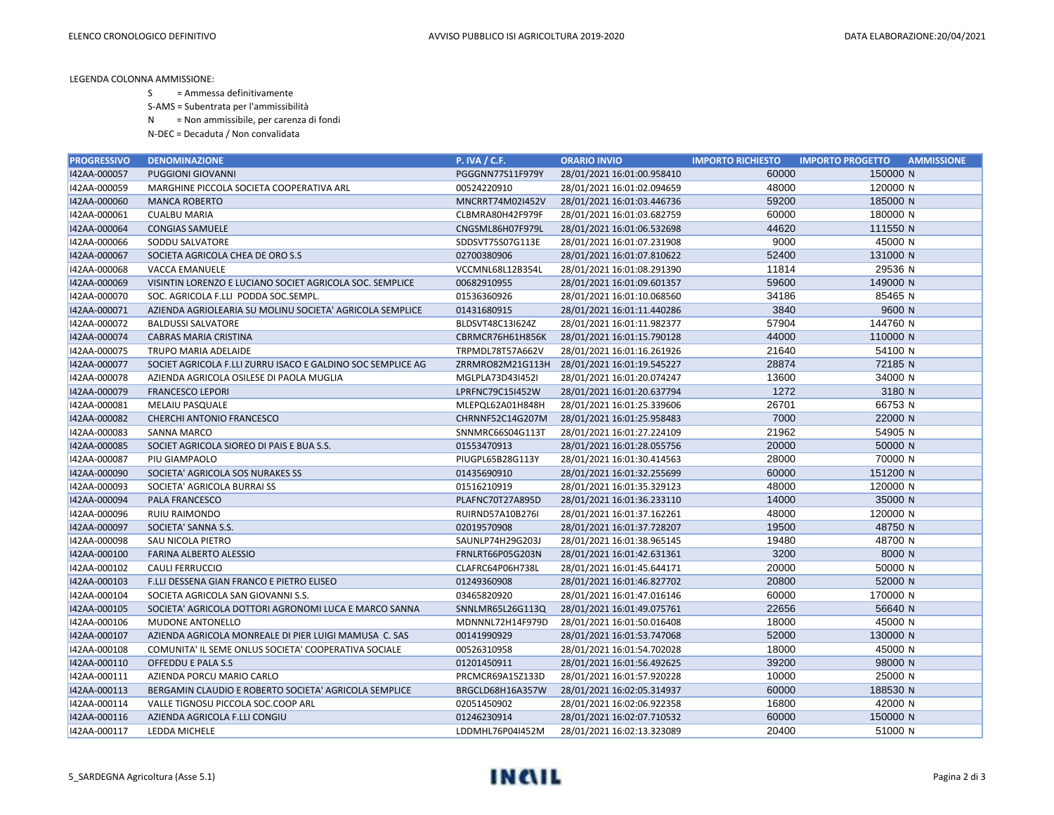LEGENDA COLONNA AMMISSIONE:

S = Ammessa definitivamente

S-AMS = Subentrata per l'ammissibilità

N = Non ammissibile, per carenza di fondi

N-DEC = Decaduta / Non convalidata

| <b>PROGRESSIVO</b> | <b>DENOMINAZIONE</b>                                        | <b>P. IVA / C.F.</b>    | <b>ORARIO INVIO</b>                         | <b>IMPORTO RICHIESTO</b> | <b>IMPORTO PROGETTO</b> | <b>AMMISSIONE</b> |
|--------------------|-------------------------------------------------------------|-------------------------|---------------------------------------------|--------------------------|-------------------------|-------------------|
| I42AA-000057       | <b>PUGGIONI GIOVANNI</b>                                    | PGGGNN77S11F979Y        | 28/01/2021 16:01:00.958410                  | 60000                    | 150000 N                |                   |
| I42AA-000059       | MARGHINE PICCOLA SOCIETA COOPERATIVA ARL                    | 00524220910             | 28/01/2021 16:01:02.094659                  | 48000                    | 120000 N                |                   |
| I42AA-000060       | <b>MANCA ROBERTO</b>                                        | MNCRRT74M02I452V        | 28/01/2021 16:01:03.446736                  | 59200                    | 185000 N                |                   |
| I42AA-000061       | <b>CUALBU MARIA</b>                                         | CLBMRA80H42F979F        | 28/01/2021 16:01:03.682759                  | 60000                    | 180000 N                |                   |
| I42AA-000064       | <b>CONGIAS SAMUELE</b>                                      | CNGSML86H07F979L        | 28/01/2021 16:01:06.532698                  | 44620                    | 111550 N                |                   |
| I42AA-000066       | SODDU SALVATORE                                             | SDDSVT75S07G113E        | 28/01/2021 16:01:07.231908                  | 9000                     | 45000 N                 |                   |
| I42AA-000067       | SOCIETA AGRICOLA CHEA DE ORO S.S                            | 02700380906             | 28/01/2021 16:01:07.810622                  | 52400                    | 131000 N                |                   |
| I42AA-000068       | VACCA EMANUELE                                              | VCCMNL68L12B354L        | 28/01/2021 16:01:08.291390                  | 11814                    | 29536 N                 |                   |
| I42AA-000069       | VISINTIN LORENZO E LUCIANO SOCIET AGRICOLA SOC. SEMPLICE    | 00682910955             | 28/01/2021 16:01:09.601357                  | 59600                    | 149000 N                |                   |
| I42AA-000070       | SOC. AGRICOLA F.LLI PODDA SOC.SEMPL.                        | 01536360926             | 28/01/2021 16:01:10.068560                  | 34186                    | 85465 N                 |                   |
| I42AA-000071       | AZIENDA AGRIOLEARIA SU MOLINU SOCIETA' AGRICOLA SEMPLICE    | 01431680915             | 28/01/2021 16:01:11.440286                  | 3840                     | 9600 N                  |                   |
| I42AA-000072       | <b>BALDUSSI SALVATORE</b>                                   | BLDSVT48C13I624Z        | 28/01/2021 16:01:11.982377                  | 57904                    | 144760 N                |                   |
| I42AA-000074       | <b>CABRAS MARIA CRISTINA</b>                                | CBRMCR76H61H856K        | 28/01/2021 16:01:15.790128                  | 44000                    | 110000 N                |                   |
| I42AA-000075       | TRUPO MARIA ADELAIDE                                        | TRPMDL78T57A662V        | 28/01/2021 16:01:16.261926                  | 21640                    | 54100 N                 |                   |
| I42AA-000077       | SOCIET AGRICOLA F.LLI ZURRU ISACO E GALDINO SOC SEMPLICE AG |                         | ZRRMRO82M21G113H 28/01/2021 16:01:19.545227 | 28874                    | 72185 N                 |                   |
| I42AA-000078       | AZIENDA AGRICOLA OSILESE DI PAOLA MUGLIA                    | MGLPLA73D43I452I        | 28/01/2021 16:01:20.074247                  | 13600                    | 34000 N                 |                   |
| I42AA-000079       | <b>FRANCESCO LEPORI</b>                                     | LPRFNC79C15I452W        | 28/01/2021 16:01:20.637794                  | 1272                     | 3180 N                  |                   |
| I42AA-000081       | <b>MELAIU PASQUALE</b>                                      | MLEPQL62A01H848H        | 28/01/2021 16:01:25.339606                  | 26701                    | 66753 N                 |                   |
| I42AA-000082       | CHERCHI ANTONIO FRANCESCO                                   | CHRNNF52C14G207M        | 28/01/2021 16:01:25.958483                  | 7000                     | 22000 N                 |                   |
| I42AA-000083       | <b>SANNA MARCO</b>                                          | SNNMRC66S04G113T        | 28/01/2021 16:01:27.224109                  | 21962                    | 54905 N                 |                   |
| I42AA-000085       | SOCIET AGRICOLA SIOREO DI PAIS E BUA S.S.                   | 01553470913             | 28/01/2021 16:01:28.055756                  | 20000                    | 50000 N                 |                   |
| I42AA-000087       | PIU GIAMPAOLO                                               | PIUGPL65B28G113Y        | 28/01/2021 16:01:30.414563                  | 28000                    | 70000 N                 |                   |
| I42AA-000090       | SOCIETA' AGRICOLA SOS NURAKES SS                            | 01435690910             | 28/01/2021 16:01:32.255699                  | 60000                    | 151200 N                |                   |
| I42AA-000093       | SOCIETA' AGRICOLA BURRAI SS                                 | 01516210919             | 28/01/2021 16:01:35.329123                  | 48000                    | 120000 N                |                   |
| I42AA-000094       | PALA FRANCESCO                                              | PLAFNC70T27A895D        | 28/01/2021 16:01:36.233110                  | 14000                    | 35000 N                 |                   |
| I42AA-000096       | RUIU RAIMONDO                                               | RUIRND57A10B276I        | 28/01/2021 16:01:37.162261                  | 48000                    | 120000 N                |                   |
| I42AA-000097       | SOCIETA' SANNA S.S.                                         | 02019570908             | 28/01/2021 16:01:37.728207                  | 19500                    | 48750 N                 |                   |
| 142AA-000098       | SAU NICOLA PIETRO                                           | SAUNLP74H29G203J        | 28/01/2021 16:01:38.965145                  | 19480                    | 48700 N                 |                   |
| I42AA-000100       | <b>FARINA ALBERTO ALESSIO</b>                               | <b>FRNLRT66P05G203N</b> | 28/01/2021 16:01:42.631361                  | 3200                     | 8000 N                  |                   |
| I42AA-000102       | <b>CAULI FERRUCCIO</b>                                      | CLAFRC64P06H738L        | 28/01/2021 16:01:45.644171                  | 20000                    | 50000 N                 |                   |
| I42AA-000103       | F.LLI DESSENA GIAN FRANCO E PIETRO ELISEO                   | 01249360908             | 28/01/2021 16:01:46.827702                  | 20800                    | 52000 N                 |                   |
| I42AA-000104       | SOCIETA AGRICOLA SAN GIOVANNI S.S.                          | 03465820920             | 28/01/2021 16:01:47.016146                  | 60000                    | 170000 N                |                   |
| I42AA-000105       | SOCIETA' AGRICOLA DOTTORI AGRONOMI LUCA E MARCO SANNA       | SNNLMR65L26G113Q        | 28/01/2021 16:01:49.075761                  | 22656                    | 56640 N                 |                   |
| I42AA-000106       | MUDONE ANTONELLO                                            | MDNNNL72H14F979D        | 28/01/2021 16:01:50.016408                  | 18000                    | 45000 N                 |                   |
| I42AA-000107       | AZIENDA AGRICOLA MONREALE DI PIER LUIGI MAMUSA C. SAS       | 00141990929             | 28/01/2021 16:01:53.747068                  | 52000                    | 130000 N                |                   |
| I42AA-000108       | COMUNITA' IL SEME ONLUS SOCIETA' COOPERATIVA SOCIALE        | 00526310958             | 28/01/2021 16:01:54.702028                  | 18000                    | 45000 N                 |                   |
| I42AA-000110       | OFFEDDU E PALA S.S                                          | 01201450911             | 28/01/2021 16:01:56.492625                  | 39200                    | 98000 N                 |                   |
| I42AA-000111       | AZIENDA PORCU MARIO CARLO                                   | PRCMCR69A15Z133D        | 28/01/2021 16:01:57.920228                  | 10000                    | 25000 N                 |                   |
| I42AA-000113       | BERGAMIN CLAUDIO E ROBERTO SOCIETA' AGRICOLA SEMPLICE       | BRGCLD68H16A357W        | 28/01/2021 16:02:05.314937                  | 60000                    | 188530 N                |                   |
| I42AA-000114       | VALLE TIGNOSU PICCOLA SOC.COOP ARL                          | 02051450902             | 28/01/2021 16:02:06.922358                  | 16800                    | 42000 N                 |                   |
| I42AA-000116       | AZIENDA AGRICOLA F.LLI CONGIU                               | 01246230914             | 28/01/2021 16:02:07.710532                  | 60000                    | 150000 N                |                   |
| I42AA-000117       | LEDDA MICHELE                                               | LDDMHL76P04I452M        | 28/01/2021 16:02:13.323089                  | 20400                    | 51000 N                 |                   |